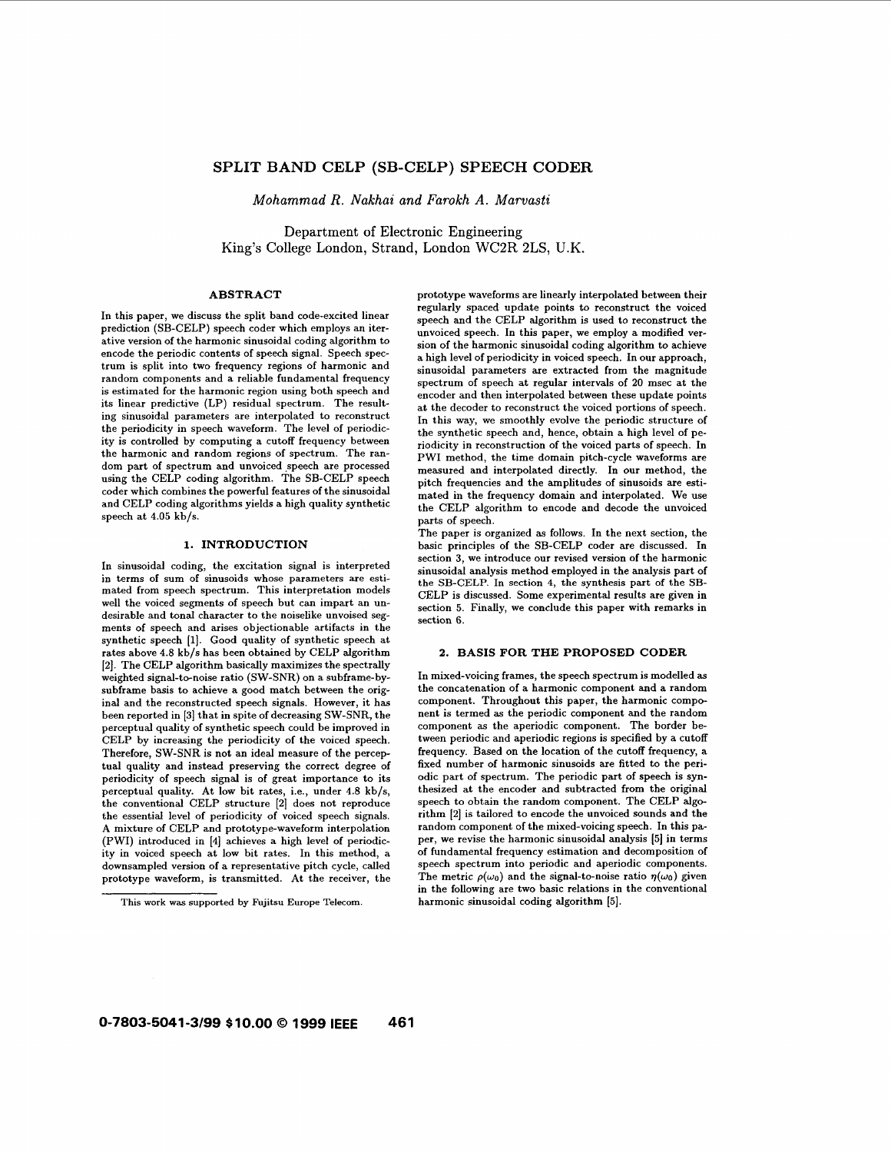# **SPLIT BAND CELP (SB-CELP) SPEECH CODER**

*Mohammad R. Nakhai and Farokh A. Marvasti* 

Department of Electronic Engineering King's College London, Strand, London WC2R 2LS, U.K.

# **ABSTRACT**

In this paper, we discuss the split band code-excited linear prediction (SB-CELP) speech coder which employs an iterative version of the harmonic sinusoidal coding algorithm to encode the periodic contents of speech signal. Speech spectrum is split into two frequency regions of harmonic and random components and a reliable fundamental frequency is estimated for the harmonic region using both speech and its linear predictive (LP) residual spectrum. The resulting sinusoidal parameters are interpolated to reconstruct the periodicity in speech waveform. The level of periodicity is controlled by computing a cutoff frequency between the harmonic and random regions of spectrum. The random part of spectrum and unvoiced speech are processed using the CELP coding algorithm. The SB-CELP speech coder which combines the powerful features of the sinusoidal and CELP coding algorithms yields a high quality synthetic speech at **4.05** kb/s.

# **1. INTRODUCTION**

In sinusoidal coding, the excitation signal is interpreted in terms of sum **of** sinusoids whose parameters are estimated from speech spectrum. This interpretation models well the voiced segments of speech but can impart an undesirable and tonal character to the noiselike unvoised segments **of** speech and arises objectionable artifacts in the synthetic speech **[I].** Good quality of synthetic speech at rates above **4.8** kb/s has been obtained by CELP algorithm **121.** The CELP algorithm basically maximizes the spectrally weighted signal-to-noise ratio (SW-SNR) on a subframe-bysubframe basis to achieve a good match between the original and the reconstructed speech signals. However, it has been reported in [3] that in spite of decreasing SW-SNR, the perceptual quality of synthetic speech could be improved in CELP by increasing the periodicity **of** the voiced speech. Therefore, SW-SNR is not an ideal measure of the perceptual quality and instead preserving the correct degree of periodicity of speech signal is of great importance to its perceptual quality. At low bit rates, i.e., under **4.8** kb/s, the conventional CELP structure **[2]** does not reproduce the essential level of periodicity of voiced speech signals. A mixture of CELP and prototype-waveform interpolation (PWI) introduced in **[4]** achieves a high level of periodicity in voiced speech at low bit rates. In this method, a downsampled version of a representative pitch cycle, called prototype waveform, is transmitted. At the receiver, the

prototype waveforms are linearly interpolated between their regularly spaced update points to reconstruct the voiced speech and the CELP algorithm is used to reconstruct the unvoiced speech. In this paper, we employ a modified version of the harmonic sinusoidal coding algorithm to achieve a high level of periodicity in voiced speech. In our approach, sinusoidal parameters are extracted from the magnitude spectrum of speech at regular intervals of 20 msec at the encoder and then interpolated between these update points at the decoder to reconstruct the voiced portions of speech. In this way, we smoothly evolve the periodic structure of the synthetic speech and, hence, obtain a high level of periodicity in reconstruction of the voiced parts of speech. In PWI method, the time domain pitch-cycle waveforms are measured and interpolated directly. In our method, the pitch frequencies and the amplitudes of sinusoids are estimated in the frequency domain and interpolated. We use the CELP algorithm to encode and decode the unvoiced parts of speech.

The paper is organized **as** follows. In the next section, the basic principles of the SB-CELP coder are discussed. In section 3, we introduce our revised version of the harmonic sinusoidal analysis method employed in the analysis part of the SB-CELP. In section **4,** the synthesis part of the **SB-**CELP is discussed. Some experimental results are given in section **5.** Finally, we conclude this paper with remarks in section 6.

# **2. BASIS FOR THE PROPOSED CODER**

In mixed-voicing frames, the speech spectrum is modelled **as**  the concatenation of a harmonic component and a random component. Throughout this paper, the harmonic component is termed **as** the periodic component and the random component **as** the aperiodic component. The border between periodic and aperiodic regions is specified by a cutoff frequency. Based on the location of the cutoff frequency, a fixed number of harmonic sinusoids are fitted to the periodic part of spectrum. The periodic part **of** speech is synthesized at the encoder and subtracted from the original speech to obtain the random component. The CELP algorithm [2] is tailored to encode the unvoiced sounds and the random component of the mixed-voicing speech. In this paper, we revise the harmonic sinusoidal analysis **[5]** in terms of fundamental frequency estimation and decomposition of speech spectrum into periodic and aperiodic components. The metric  $\rho(\omega_0)$  and the signal-to-noise ratio  $\eta(\omega_0)$  given in the following are two basic relations in the conventional harmonic sinusoidal coding algorithm **[SI.** 

This **work** was supported **by** Fujitsu Europe Telecom.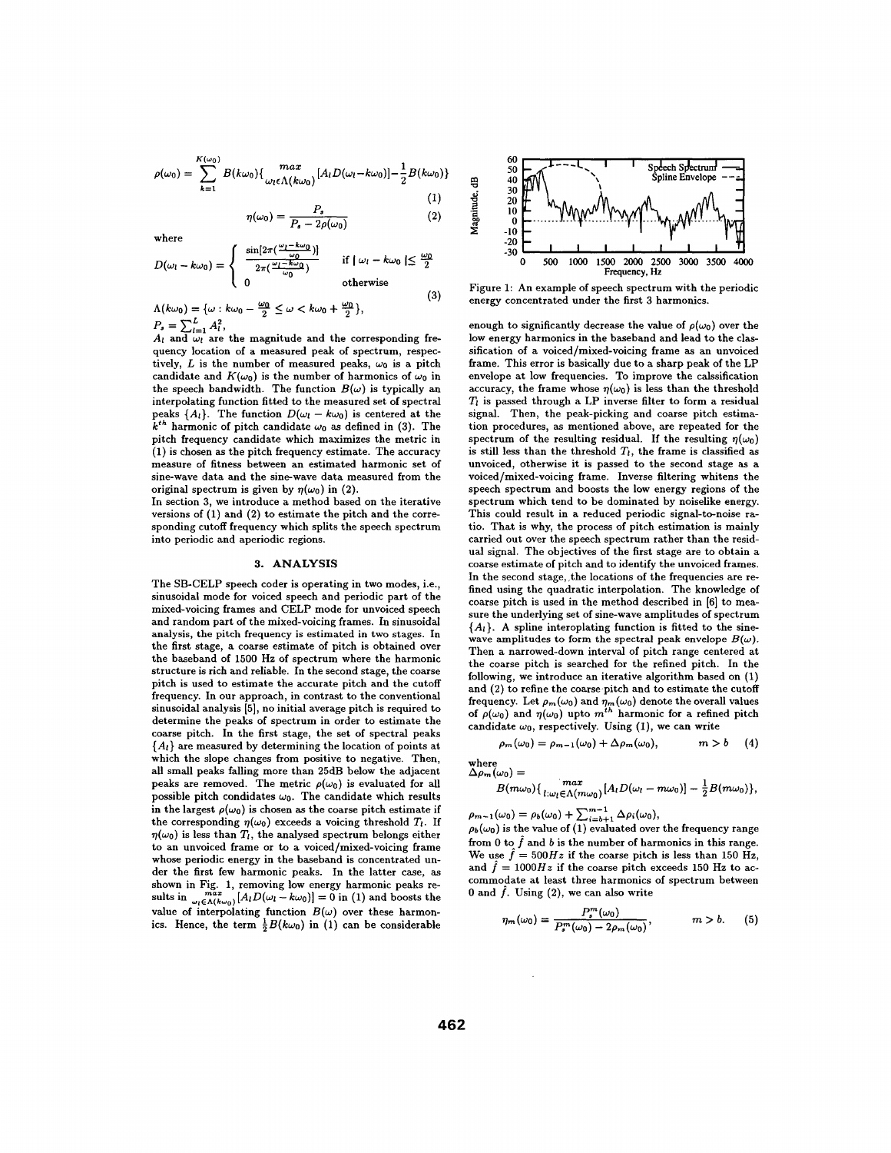$$
\rho(\omega_0) = \sum_{k=1}^{K(\omega_0)} B(k\omega_0) \{ \max_{\omega_l \in \Lambda(k\omega_0)} [A_l D(\omega_l - k\omega_0)] - \frac{1}{2} B(k\omega_0) \}
$$
(1)

$$
(\omega_0) = \frac{P_s}{P_s - 2\rho(\omega_0)}\tag{2}
$$

where

$$
D(\omega_l - k\omega_0) = \begin{cases} \frac{\sin[2\pi(\frac{\omega_l - k\omega_0}{\omega_0})]}{2\pi(\frac{\omega_l - k\omega_0}{\omega_0})} & \text{if } |\omega_l - k\omega_0| \le \frac{\omega_0}{2} \\ 0 & \text{otherwise} \end{cases}
$$
(3)

 $A(k\omega_0) = {\omega : k\omega_0 - \frac{\omega_0}{2} \le \omega < k\omega_0 + \frac{\omega_0}{2}},$ <br>  $P_s = \sum_{l=1}^{L} A_l^2,$ <br> *p*<sub>a</sub> and *i* and *i* and *i* and *i* and *i* and *i* and *i* and *i* and *i* and *i* and *i* and *i* and *i* and *i* and *i* and *i* and *i* and *i* 

η

 $A_l$  and  $\omega_l$  are the magnitude and the corresponding frequency location of a measured peak of spectrum, respectively,  $L$  is the number of measured peaks,  $\omega_0$  is a pitch candidate and  $K(\omega_0)$  is the number of harmonics of  $\omega_0$  in the speech bandwidth. The function  $B(\omega)$  is typically an interpolating function fitted to the measured set of spectral peaks  $\{A_l\}$ . The function  $D(\omega_l - k\omega_0)$  is centered at the  $k^{th}$  harmonic of pitch candidate  $\omega_0$  as defined in (3). The pitch frequency candidate which maximizes the metric in (1) is chosen as the pitch frequency estimate. The accuracy measure of fitness between an estimated harmonic set of sine-wave data and the sine-wave data measured from the original spectrum is given by  $\eta(\omega_0)$  in (2).

In section 3, we introduce a method based on the iterative versions of (1) and (2) to estimate the pitch and the corresponding cutoff frequency which splits the speech spectrum into periodic and aperiodic regions.

#### **3. ANALYSIS**

The SB-CELP speech coder is operating in two modes, i.e., sinusoidal mode for voiced speech and periodic part of the mixed-voicing frames and CELP mode for unvoiced speech and random part of the mixed-voicing frames. In sinusoidal analysis, the pitch frequency is estimated in two stages. In the first stage, **a** coarse estimate of pitch is obtained over the baseband of 1500 **Hz** of spectrum where the harmonic structure is rich and reliable. In the second stage, the coarse pitch is used to estimate the accurate pitch and the cutoff frequency. In our approach, in contrast to the conventional sinusoidal analysis *[5],* no initial average pitch is required to determine the peaks of spectrum in order to estimate the coarse pitch. In the first stage, the set of spectral peaks *{AI}* are measured by determining the location of points at which the slope changes from positive to negative. Then, all small peaks falling more than 25dB below the adjacent peaks are removed. The metric  $\rho(\omega_0)$  is evaluated for all possible pitch condidates  $\omega_0$ . The candidate which results in the largest  $\rho(\omega_0)$  is chosen as the coarse pitch estimate if the corresponding  $\eta(\omega_0)$  exceeds a voicing threshold  $T_l$ . If  $\eta(\omega_0)$  is less than  $T_l$ , the analysed spectrum belongs either to an unvoiced frame or to a voiced/mixed-voicing frame whose periodic energy in the baseband is concentrated under the first few harmonic peaks. In the latter case, as shown in Fig. 1, removing low energy harmonic peaks results in  $\sum_{\omega_l \in \Lambda(k\omega_0)}^{max} [A_l D(\omega_l - k\omega_0)] = 0$  in (1) and boosts the value of interpolating function  $B(\omega)$  over these harmonics. Hence, the term  $\frac{1}{2}B(k\omega_0)$  in (1) can be considerable



Figure 1: An example of speech spectrum with the periodic energy concentrated under the first 3 harmonics.

enough to significantly decrease the value of  $\rho(\omega_0)$  over the low energy harmonics in the baseband and lead to the classification of a voiced/mixed-voicing frame as an unvoiced frame. This error is basically due to a sharp peak of the LP envelope at low frequencies. To improve the calssification accuracy, the frame whose  $\eta(\omega_0)$  is less than the threshold  $T_l$  is passed through a LP inverse filter to form a residual signal. Then, the peak-picking and coarse pitch estimation procedures, as mentioned above, are repeated for the spectrum of the resulting residual. If the resulting  $\eta(\omega_0)$ is still less than the threshold  $T<sub>l</sub>$ , the frame is classified as unvoiced, otherwise it is passed to the second stage as a voiced/mixed-voicing frame. Inverse filtering whitens the speech spectrum and boosts the low energy regions of the spectrum which tend to be dominated by noiselike energy. This could result in a reduced periodic signal-to-noise ratio. That is why, the process of pitch estimation is mainly carried out over the speech spectrum rather than the residual signal. The objectives of the first stage are to obtain a coarse estimate of pitch and to identify the unvoiced frames. In the second stage, the locations of the frequencies are refined using the quadratic interpolation. The knowledge of coarse pitch is used in the method described in [6] to measure the underlying set of sine-wave amplitudes of spectrum  ${A<sub>l</sub>}$ . A spline interoplating function is fitted to the sinewave amplitudes to form the spectral peak envelope  $B(\omega)$ . Then a narrowed-down interval of pitch range centered at the coarse pitch is searched for the refined pitch. In the following, we introduce an iterative algorithm based on (1) and (2) to refine the coarse pitch and to estimate the cutoff frequency. Let  $\rho_m(\omega_0)$  and  $\eta_m(\omega_0)$  denote the overall values of  $\rho(\omega_0)$  and  $\eta(\omega_0)$  upto  $m^{th}$  harmonic for a refined pitch candidate  $\omega_0$ , respectively. Using (1), we can write

$$
\rho_m(\omega_0) = \rho_{m-1}(\omega_0) + \Delta \rho_m(\omega_0), \qquad m > b \qquad (4)
$$

$$
\begin{array}{l}\text{where }\\ \Delta\rho_m(\omega_0)=\end{array}
$$

where 
$$
\Delta \rho_m(\omega_0) =
$$
  
\n
$$
B(m\omega_0)\left\{ \max_{l:\omega_l\in\Lambda(m\omega_0)}[A_lD(\omega_l-m\omega_0)]-\frac{1}{2}B(m\omega_0)\right\},\,
$$

 $\rho_{m-1}(\omega_0) = \rho_b(\omega_0) + \sum_{i=b+1}^{m-1} \Delta \rho_i(\omega_0),$ 

 $\rho_b(\omega_0)$  is the value of (1) evaluated over the frequency range from 0 to  $\hat{f}$  and b is the number of harmonics in this range. We use  $\hat{f} = 500Hz$  if the coarse pitch is less than 150 Hz, and  $\ddot{f} = 1000Hz$  if the coarse pitch exceeds 150 Hz to accommodate at least three harmonics of spectrum between 0 and  $\hat{f}$ . Using  $(2)$ , we can also write

$$
\eta_m(\omega_0) = \frac{P_s^m(\omega_0)}{P_s^m(\omega_0) - 2\rho_m(\omega_0)}, \qquad m > b. \tag{5}
$$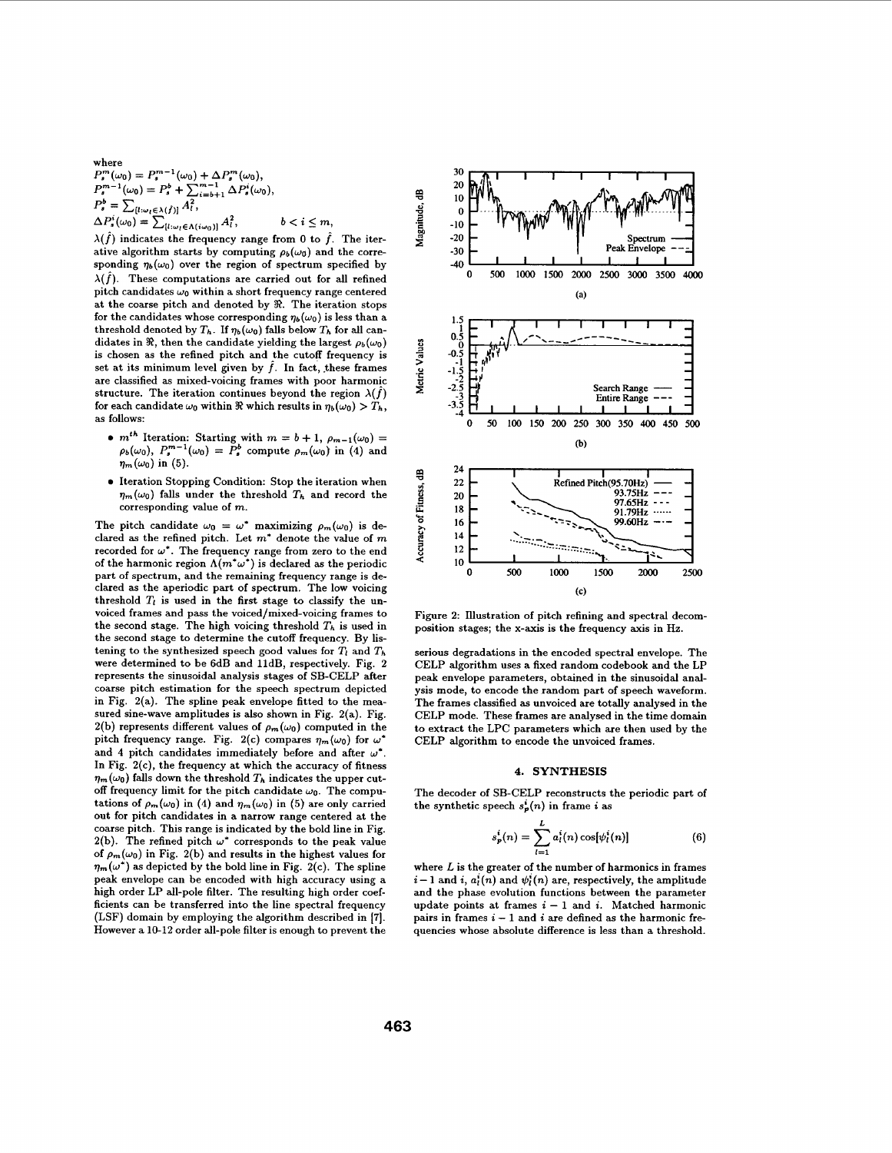where  $P_s^m(\omega_0) = P_s^{m-1}(\omega_0) + \Delta P_s^m(\omega_0),$  $P_s^{m-1}(\omega_0) = P_s^b + \sum_{i=b+1}^{m-1} \Delta P_s^i(\omega_0),$  $P_s^b = \sum_{[l:\omega_l \in \lambda(\hat{f})]} A_l^2,$  $\Delta P_s^i(\omega_0) = \sum_{\{l: \omega_l \in \Lambda(i\omega_0)\}} A_l^2, \qquad b < i \leq m,$ 

 $\lambda(\hat{f})$  indicates the frequency range from 0 to  $\hat{f}$ . The iterative algorithm starts by computing  $\rho_b(\omega_0)$  and the corresponding  $\eta_b(\omega_0)$  over the region of spectrum specified by  $\lambda(\hat{f})$ . These computations are carried out for all refined pitch candidates  $\omega_0$  within a short frequency range centered at the coarse pitch and denoted by *92.* The iteration stops for the candidates whose corresponding  $\eta_b(\omega_0)$  is less than a threshold denoted by  $T_h$ . If  $\eta_b(\omega_0)$  falls below  $T_h$  for all candidates in  $\Re$ , then the candidate yielding the largest  $\rho_b(\omega_0)$ is chosen as the refined pitch and the cutoff frequency is set at its minimum level given by  $\hat{f}$ . In fact, these frames are classified as mixed-voicing frames with poor harmonic structure. The iteration continues beyond the region  $\lambda(\hat{f})$ for each candidate  $\omega_0$  within  $\Re$  which results in  $\eta_b(\omega_0) > T_h$ , as follows:

- $m^{th}$  Iteration: Starting with  $m = b + 1$ ,  $\rho_{m-1}(\omega_0) =$  $\rho_b(\omega_0)$ ,  $P_s^{m-1}(\omega_0) = P_s^b$  compute  $\rho_m(\omega_0)$  in (4) and  $\eta_m(\omega_0)$  in (5).
- $\bullet$  Iteration Stopping Condition: Stop the iteration when  $\eta_m(\omega_0)$  falls under the threshold  $T_h$  and record the corresponding value of *m.*

The pitch candidate  $\omega_0 = \omega^*$  maximizing  $\rho_m(\omega_0)$  is declared **as** the refined pitch. Let *m\** denote the value of *m*  recorded for  $\omega^*$ . The frequency range from zero to the end of the harmonic region  $\Lambda(m^*\omega^*)$  is declared as the periodic part of spectrum, and the remaining frequency range is declared as the aperiodic part of spectrum. The low voicing threshold  $T_l$  is used in the first stage to classify the unvoiced frames and pass the voiced/mixed-voicing frames to the second stage. The high voicing threshold  $T_h$  is used in the second stage to determine the cutoff frequency. By listening to the synthesized speech good values for  $T_l$  and  $T_h$ were determined to be 6dB and lldB, respectively. Fig. 2 represents the sinusoidal analysis stages of SB-CELP after coarse pitch estimation for the speech spectrum depicted in Fig. 2(a). The spline peak envelope fitted to the measured sine-wave amplitudes is also shown in Fig. 2(a). Fig. 2(b) represents different values of  $\rho_m(\omega_0)$  computed in the pitch frequency range. Fig. 2(c) compares  $\eta_m(\omega_0)$  for  $\omega^*$ and 4 pitch candidates immediately before and after  $\omega^*$ . In Fig.  $2(c)$ , the frequency at which the accuracy of fitness  $\eta_m(\omega_0)$  falls down the threshold  $T_h$  indicates the upper cutoff frequency limit for the pitch candidate  $\omega_0$ . The computations of  $\rho_m(\omega_0)$  in (4) and  $\eta_m(\omega_0)$  in (5) are only carried out for pitch candidates in a narrow range centered at the coarse pitch. This range is indicated by the bold line in Fig. 2(b). The refined pitch  $\omega^*$  corresponds to the peak value of  $\rho_m(\omega_0)$  in Fig. 2(b) and results in the highest values for  $\eta_m(\omega^*)$  as depicted by the bold line in Fig. 2(c). The spline peak envelope can be encoded with high accuracy using a high order LP all-pole filter. The resulting high order coefficients can be transferred into the line spectral frequency (LSF) domain by employing the algorithm described in **171.**  However a 10-12 order all-pole filter is enough to prevent the



Figure **2:** Illustration of pitch refining and spectral decomposition stages; the x-axis is the frequency axis in Hz.

serious degradations in the encoded spectral envelope. The CELP algorithm uses a fixed random codebook and the LP peak envelope parameters, obtained in the sinusoidal analysis mode, to encode the random part of speech waveform. The frames classified **as** unvoiced are totally analysed in the CELP mode. These frames are analysed in the time domain to extract the LPC parameters which are then used by the CELP algorithm to encode the unvoiced frames.

#### **4. SYNTHESIS**

The decoder of SB-CELP reconstructs the periodic part of the synthetic speech  $s_p^i(n)$  in frame *i* as

$$
s_p^i(n) = \sum_{l=1}^L a_l^i(n) \cos[\psi_l^i(n)] \tag{6}
$$

where *L* is the greater of the number of harmonics in frames  $i-1$  and  $i, a<sub>i</sub>(n)$  and  $\psi<sub>i</sub>(n)$  are, respectively, the amplitude and the phase evolution functions between the parameter update points at frames  $i - 1$  and  $i$ . Matched harmonic pairs in frames  $i - 1$  and  $i$  are defined as the harmonic frequencies whose absolute difference is less than a threshold.